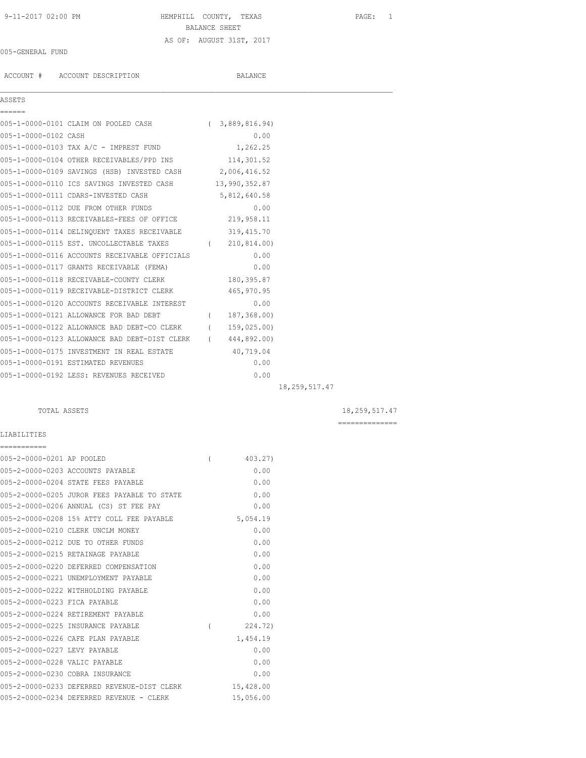# 9-11-2017 02:00 PM HEMPHILL COUNTY, TEXAS PAGE: 1 BALANCE SHEET AS OF: AUGUST 31ST, 2017

### 005-GENERAL FUND

ACCOUNT # ACCOUNT DESCRIPTION BALANCE

| ASSETS |  |
|--------|--|
|        |  |

 $\mathcal{L}_\mathcal{L} = \mathcal{L}_\mathcal{L}$ 

|                      | 005-1-0000-0101 CLAIM ON POOLED CASH                       | (3,889,816.94) |                 |
|----------------------|------------------------------------------------------------|----------------|-----------------|
| 005-1-0000-0102 CASH |                                                            | 0.00           |                 |
|                      | 005-1-0000-0103 TAX A/C - IMPREST FUND                     | 1,262.25       |                 |
|                      | 005-1-0000-0104 OTHER RECEIVABLES/PPD INS 114,301.52       |                |                 |
|                      | 005-1-0000-0109 SAVINGS (HSB) INVESTED CASH 2,006,416.52   |                |                 |
|                      | 005-1-0000-0110 ICS SAVINGS INVESTED CASH 13,990,352.87    |                |                 |
|                      | 005-1-0000-0111 CDARS-INVESTED CASH                        | 5,812,640.58   |                 |
|                      | 005-1-0000-0112 DUE FROM OTHER FUNDS                       | 0.00           |                 |
|                      | 005-1-0000-0113 RECEIVABLES-FEES OF OFFICE 219,958.11      |                |                 |
|                      | 005-1-0000-0114 DELINQUENT TAXES RECEIVABLE 319,415.70     |                |                 |
|                      | 005-1-0000-0115 EST. UNCOLLECTABLE TAXES (210,814.00)      |                |                 |
|                      | 005-1-0000-0116 ACCOUNTS RECEIVABLE OFFICIALS              | 0.00           |                 |
|                      | 005-1-0000-0117 GRANTS RECEIVABLE (FEMA)                   | 0.00           |                 |
|                      | 005-1-0000-0118 RECEIVABLE-COUNTY CLERK                    | 180, 395.87    |                 |
|                      | 005-1-0000-0119 RECEIVABLE-DISTRICT CLERK                  | 465,970.95     |                 |
|                      | 005-1-0000-0120 ACCOUNTS RECEIVABLE INTEREST               | 0.00           |                 |
|                      | 005-1-0000-0121 ALLOWANCE FOR BAD DEBT                     | (187, 368, 00) |                 |
|                      | 005-1-0000-0122 ALLOWANCE BAD DEBT-CO CLERK (159,025.00)   |                |                 |
|                      | 005-1-0000-0123 ALLOWANCE BAD DEBT-DIST CLERK (444,892.00) |                |                 |
|                      | 005-1-0000-0175 INVESTMENT IN REAL ESTATE 40,719.04        |                |                 |
|                      | 005-1-0000-0191 ESTIMATED REVENUES                         | 0.00           |                 |
|                      | 005-1-0000-0192 LESS: REVENUES RECEIVED                    | 0.00           |                 |
|                      |                                                            |                | 18, 259, 517.47 |

TOTAL ASSETS 18,259,517.47

==============

### LIABILITIES ===========

| 005-2-0000-0201 AP POOLED     |                                             |          | 403.27)   |
|-------------------------------|---------------------------------------------|----------|-----------|
|                               | 005-2-0000-0203 ACCOUNTS PAYABLE            |          | 0.00      |
|                               | 005-2-0000-0204 STATE FEES PAYABLE          |          | 0.00      |
|                               | 005-2-0000-0205 JUROR FEES PAYABLE TO STATE |          | 0.00      |
|                               | 005-2-0000-0206 ANNUAL (CS) ST FEE PAY      |          | 0.00      |
|                               | 005-2-0000-0208 15% ATTY COLL FEE PAYABLE   |          | 5,054.19  |
|                               | 005-2-0000-0210 CLERK UNCLM MONEY           |          | 0.00      |
|                               | 005-2-0000-0212 DUE TO OTHER FUNDS          |          | 0.00      |
|                               | 005-2-0000-0215 RETAINAGE PAYABLE           |          | 0.00      |
|                               | 005-2-0000-0220 DEFERRED COMPENSATION       |          | 0.00      |
|                               | 005-2-0000-0221 UNEMPLOYMENT PAYABLE        |          | 0.00      |
|                               | 005-2-0000-0222 WITHHOLDING PAYABLE         |          | 0.00      |
| 005-2-0000-0223 FICA PAYABLE  |                                             |          | 0.00      |
|                               | 005-2-0000-0224 RETIREMENT PAYABLE          |          | 0.00      |
|                               | 005-2-0000-0225 INSURANCE PAYABLE           | $\left($ | 224.72)   |
|                               | 005-2-0000-0226 CAFE PLAN PAYABLE           |          | 1,454.19  |
| 005-2-0000-0227 LEVY PAYABLE  |                                             |          | 0.00      |
| 005-2-0000-0228 VALIC PAYABLE |                                             |          | 0.00      |
|                               | 005-2-0000-0230 COBRA INSURANCE             |          | 0.00      |
|                               | 005-2-0000-0233 DEFERRED REVENUE-DIST CLERK |          | 15,428.00 |
|                               | 005-2-0000-0234 DEFERRED REVENUE - CLERK    |          | 15,056.00 |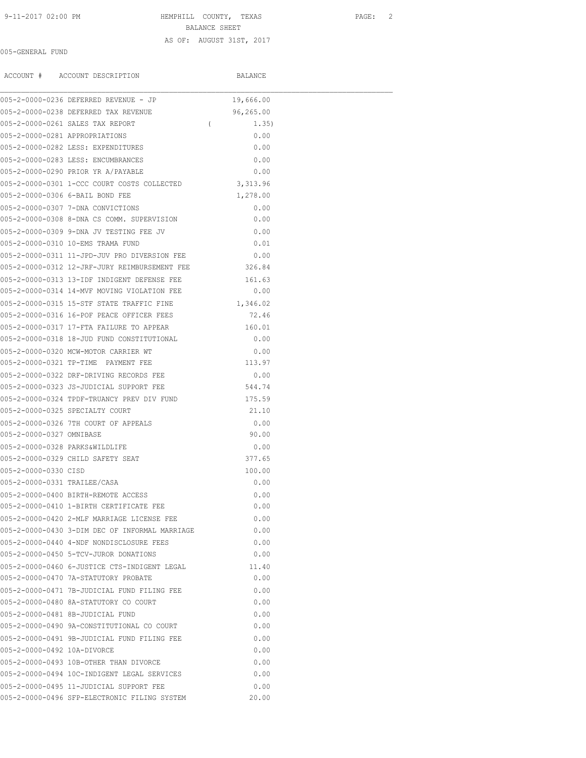#### 9-11-2017 02:00 PM HEMPHILL COUNTY, TEXAS PAGE: 2

BALANCE SHEET

### AS OF: AUGUST 31ST, 2017

### 005-GENERAL FUND

|                                | ACCOUNT # ACCOUNT DESCRIPTION                        | BALANCE           |  |
|--------------------------------|------------------------------------------------------|-------------------|--|
|                                | 005-2-0000-0236 DEFERRED REVENUE - JP                | 19,666.00         |  |
|                                | 005-2-0000-0238 DEFERRED TAX REVENUE                 | 96,265.00         |  |
|                                | 005-2-0000-0261 SALES TAX REPORT                     | $\left($<br>1.35) |  |
| 005-2-0000-0281 APPROPRIATIONS |                                                      | 0.00              |  |
|                                | 005-2-0000-0282 LESS: EXPENDITURES                   | 0.00              |  |
|                                | 005-2-0000-0283 LESS: ENCUMBRANCES                   | 0.00              |  |
|                                | 005-2-0000-0290 PRIOR YR A/PAYABLE                   | 0.00              |  |
|                                | 005-2-0000-0301 1-CCC COURT COSTS COLLECTED          | 3, 313.96         |  |
|                                | 005-2-0000-0306 6-BAIL BOND FEE                      | 1,278.00          |  |
|                                | 005-2-0000-0307 7-DNA CONVICTIONS                    | 0.00              |  |
|                                | 005-2-0000-0308 8-DNA CS COMM. SUPERVISION           | 0.00              |  |
|                                | 005-2-0000-0309 9-DNA JV TESTING FEE JV              | 0.00              |  |
|                                | 005-2-0000-0310 10-EMS TRAMA FUND                    | 0.01              |  |
|                                | 005-2-0000-0311 11-JPD-JUV PRO DIVERSION FEE         | 0.00              |  |
|                                | 005-2-0000-0312 12-JRF-JURY REIMBURSEMENT FEE 326.84 |                   |  |
|                                | 005-2-0000-0313 13-IDF INDIGENT DEFENSE FEE          | 161.63            |  |
|                                | 005-2-0000-0314 14-MVF MOVING VIOLATION FEE          | 0.00              |  |
|                                | 005-2-0000-0315 15-STF STATE TRAFFIC FINE            | 1,346.02          |  |
|                                | 005-2-0000-0316 16-POF PEACE OFFICER FEES            | 72.46             |  |
|                                | 005-2-0000-0317 17-FTA FAILURE TO APPEAR             | 160.01            |  |
|                                | 005-2-0000-0318 18-JUD FUND CONSTITUTIONAL           | 0.00              |  |
|                                | 005-2-0000-0320 MCW-MOTOR CARRIER WT                 | 0.00              |  |
|                                | 005-2-0000-0321 TP-TIME PAYMENT FEE                  | 113.97            |  |
|                                | 005-2-0000-0322 DRF-DRIVING RECORDS FEE              | 0.00              |  |
|                                | 005-2-0000-0323 JS-JUDICIAL SUPPORT FEE              | 544.74            |  |
|                                | 005-2-0000-0324 TPDF-TRUANCY PREV DIV FUND           | 175.59            |  |
|                                | 005-2-0000-0325 SPECIALTY COURT                      | 21.10             |  |
|                                | 005-2-0000-0326 7TH COURT OF APPEALS                 | 0.00              |  |
| 005-2-0000-0327 OMNIBASE       |                                                      | 90.00             |  |
| 005-2-0000-0328 PARKS&WILDLIFE |                                                      | 0.00              |  |
|                                | 005-2-0000-0329 CHILD SAFETY SEAT                    | 377.65            |  |
| 005-2-0000-0330 CISD           |                                                      | 100.00            |  |
| 005-2-0000-0331 TRAILEE/CASA   |                                                      | 0.00              |  |
|                                | 005-2-0000-0400 BIRTH-REMOTE ACCESS                  | 0.00              |  |
|                                | 005-2-0000-0410 1-BIRTH CERTIFICATE FEE              | 0.00              |  |
|                                | 005-2-0000-0420 2-MLF MARRIAGE LICENSE FEE           | 0.00              |  |
|                                | 005-2-0000-0430 3-DIM DEC OF INFORMAL MARRIAGE       | 0.00              |  |
|                                | 005-2-0000-0440 4-NDF NONDISCLOSURE FEES             | 0.00              |  |
|                                | 005-2-0000-0450 5-TCV-JUROR DONATIONS                | 0.00              |  |
|                                | 005-2-0000-0460 6-JUSTICE CTS-INDIGENT LEGAL         | 11.40             |  |
|                                | 005-2-0000-0470 7A-STATUTORY PROBATE                 | 0.00              |  |
|                                | 005-2-0000-0471 7B-JUDICIAL FUND FILING FEE          | 0.00              |  |
|                                | 005-2-0000-0480 8A-STATUTORY CO COURT                | 0.00              |  |
|                                | 005-2-0000-0481 8B-JUDICIAL FUND                     | 0.00              |  |
|                                | 005-2-0000-0490 9A-CONSTITUTIONAL CO COURT           | 0.00              |  |
|                                | 005-2-0000-0491 9B-JUDICIAL FUND FILING FEE          | 0.00              |  |
| 005-2-0000-0492 10A-DIVORCE    |                                                      | 0.00              |  |
|                                | 005-2-0000-0493 10B-OTHER THAN DIVORCE               | 0.00              |  |
|                                | 005-2-0000-0494 10C-INDIGENT LEGAL SERVICES          | 0.00              |  |
|                                | 005-2-0000-0495 11-JUDICIAL SUPPORT FEE              | 0.00              |  |
|                                | 005-2-0000-0496 SFP-ELECTRONIC FILING SYSTEM         | 20.00             |  |
|                                |                                                      |                   |  |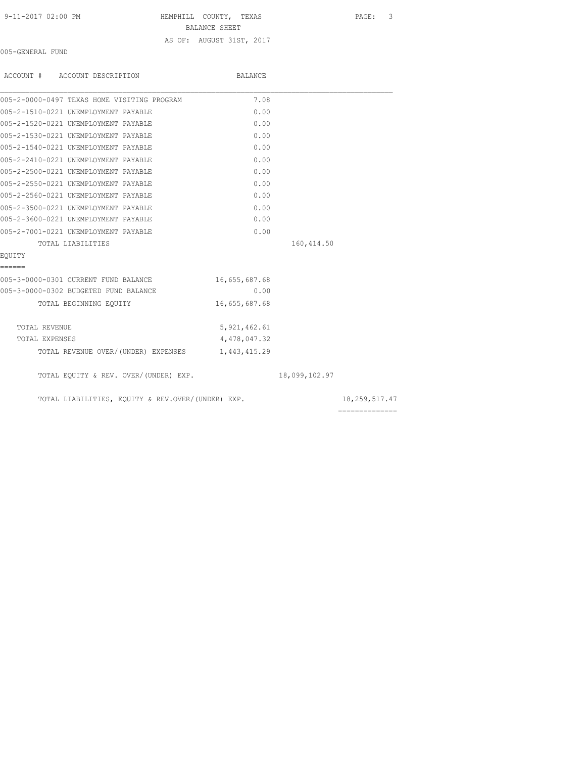| 9-11-2017 02:00 PM |  |
|--------------------|--|
|--------------------|--|

HEMPHILL COUNTY, TEXAS PAGE: 3

BALANCE SHEET

## AS OF: AUGUST 31ST, 2017

005-GENERAL FUND

| ACCOUNT # ACCOUNT DESCRIPTION                     | BALANCE        |               |                |
|---------------------------------------------------|----------------|---------------|----------------|
| 005-2-0000-0497 TEXAS HOME VISITING PROGRAM       | 7.08           |               |                |
| 005-2-1510-0221 UNEMPLOYMENT PAYABLE              | 0.00           |               |                |
| 005-2-1520-0221 UNEMPLOYMENT PAYABLE              | 0.00           |               |                |
| 005-2-1530-0221 UNEMPLOYMENT PAYABLE              | 0.00           |               |                |
| 005-2-1540-0221 UNEMPLOYMENT PAYABLE              | 0.00           |               |                |
| 005-2-2410-0221 UNEMPLOYMENT PAYABLE              | 0.00           |               |                |
| 005-2-2500-0221 UNEMPLOYMENT PAYABLE              | 0.00           |               |                |
| 005-2-2550-0221 UNEMPLOYMENT PAYABLE              | 0.00           |               |                |
| 005-2-2560-0221 UNEMPLOYMENT PAYABLE              | 0.00           |               |                |
| 005-2-3500-0221 UNEMPLOYMENT PAYABLE              | 0.00           |               |                |
| 005-2-3600-0221 UNEMPLOYMENT PAYABLE              | 0.00           |               |                |
| 005-2-7001-0221 UNEMPLOYMENT PAYABLE              | 0.00           |               |                |
| TOTAL LIABILITIES                                 |                | 160, 414.50   |                |
| EOUITY                                            |                |               |                |
| ======                                            |                |               |                |
| 005-3-0000-0301 CURRENT FUND BALANCE              | 16,655,687.68  |               |                |
| 005-3-0000-0302 BUDGETED FUND BALANCE             | 0.00           |               |                |
| TOTAL BEGINNING EOUITY                            | 16,655,687.68  |               |                |
| TOTAL REVENUE                                     | 5, 921, 462.61 |               |                |
| TOTAL EXPENSES                                    | 4,478,047.32   |               |                |
| TOTAL REVENUE OVER/(UNDER) EXPENSES 1,443,415.29  |                |               |                |
| TOTAL EQUITY & REV. OVER/(UNDER) EXP.             |                | 18,099,102.97 |                |
| TOTAL LIABILITIES, EQUITY & REV.OVER/(UNDER) EXP. |                |               | 18,259,517.47  |
|                                                   |                |               | ============== |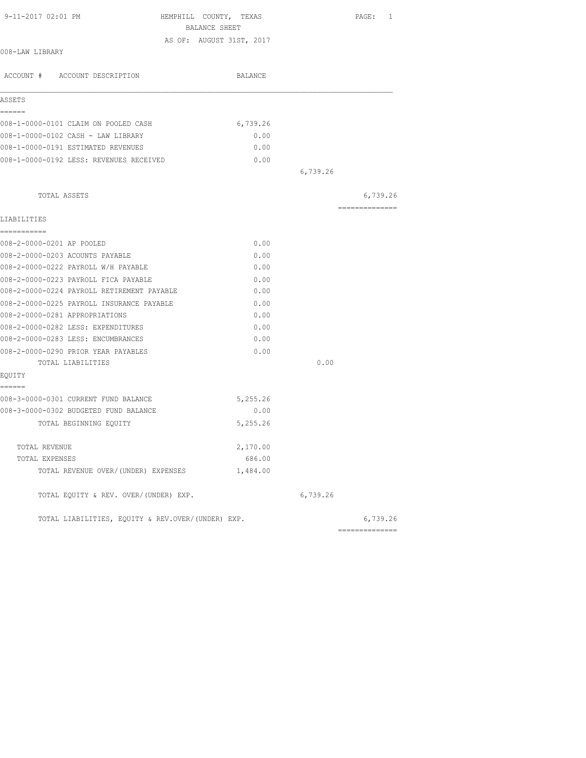| 9-11-2017 02:01 PM<br>HEMPHILL COUNTY, TEXAS<br>BALANCE SHEET |                          |          | PAGE: 1        |
|---------------------------------------------------------------|--------------------------|----------|----------------|
|                                                               | AS OF: AUGUST 31ST, 2017 |          |                |
| 008-LAW LIBRARY                                               |                          |          |                |
| ACCOUNT # ACCOUNT DESCRIPTION                                 | BALANCE                  |          |                |
| ASSETS                                                        |                          |          |                |
| ======                                                        |                          |          |                |
| 008-1-0000-0101 CLAIM ON POOLED CASH                          | 6,739.26                 |          |                |
| 008-1-0000-0102 CASH - LAW LIBRARY                            | 0.00                     |          |                |
| 008-1-0000-0191 ESTIMATED REVENUES                            | 0.00                     |          |                |
| 008-1-0000-0192 LESS: REVENUES RECEIVED                       | 0.00                     |          |                |
|                                                               |                          | 6,739.26 |                |
| TOTAL ASSETS                                                  |                          |          | 6,739.26       |
|                                                               |                          |          | ============== |
| LIABILITIES                                                   |                          |          |                |
| -----------                                                   |                          |          |                |
| 008-2-0000-0201 AP POOLED                                     | 0.00                     |          |                |
| 008-2-0000-0203 ACOUNTS PAYABLE                               | 0.00                     |          |                |
| 008-2-0000-0222 PAYROLL W/H PAYABLE                           | 0.00                     |          |                |
| 008-2-0000-0223 PAYROLL FICA PAYABLE                          | 0.00                     |          |                |
| 008-2-0000-0224 PAYROLL RETIREMENT PAYABLE                    | 0.00                     |          |                |
| 008-2-0000-0225 PAYROLL INSURANCE PAYABLE                     | 0.00                     |          |                |
| 008-2-0000-0281 APPROPRIATIONS                                | 0.00                     |          |                |
| 008-2-0000-0282 LESS: EXPENDITURES                            | 0.00                     |          |                |
| 008-2-0000-0283 LESS: ENCUMBRANCES                            | 0.00                     |          |                |
| 008-2-0000-0290 PRIOR YEAR PAYABLES                           | 0.00                     |          |                |
| TOTAL LIABILITIES                                             |                          | 0.00     |                |
| EQUITY<br>======                                              |                          |          |                |
| 008-3-0000-0301 CURRENT FUND BALANCE                          | 5,255.26                 |          |                |
| 008-3-0000-0302 BUDGETED FUND BALANCE                         | 0.00                     |          |                |
| TOTAL BEGINNING EQUITY                                        | 5,255.26                 |          |                |
|                                                               |                          |          |                |
| TOTAL REVENUE                                                 | 2,170.00                 |          |                |
| TOTAL EXPENSES                                                | 686.00                   |          |                |
| TOTAL REVENUE OVER/(UNDER) EXPENSES                           | 1,484.00                 |          |                |
| TOTAL EQUITY & REV. OVER/(UNDER) EXP.                         |                          | 6,739.26 |                |
| TOTAL LIABILITIES, EQUITY & REV.OVER/(UNDER) EXP.             |                          |          | 6,739.26       |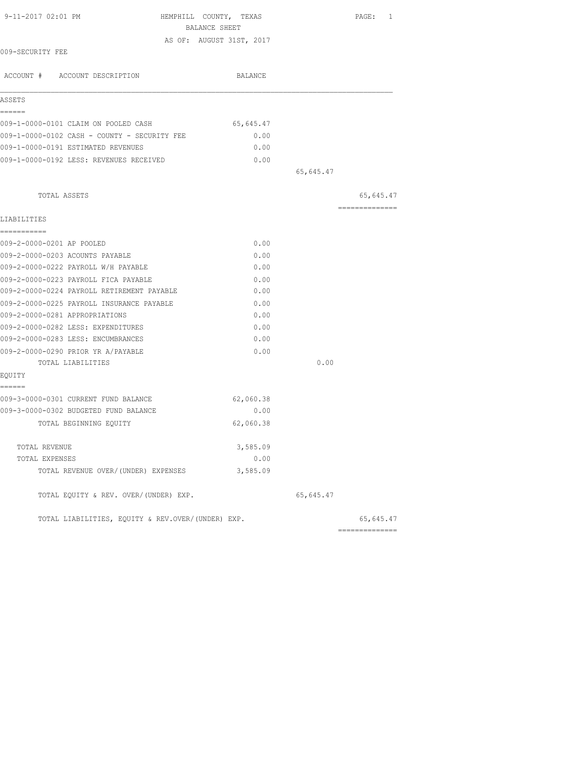| 9-11-2017 02:01 PM                                | HEMPHILL COUNTY, TEXAS<br>PAGE: 1<br>BALANCE SHEET |  |
|---------------------------------------------------|----------------------------------------------------|--|
|                                                   | AS OF: AUGUST 31ST, 2017                           |  |
| 009-SECURITY FEE                                  |                                                    |  |
| ACCOUNT # ACCOUNT DESCRIPTION                     | BALANCE                                            |  |
| ASSETS                                            |                                                    |  |
| ======<br>009-1-0000-0101 CLAIM ON POOLED CASH    | 65,645.47                                          |  |
| 009-1-0000-0102 CASH - COUNTY - SECURITY FEE      | 0.00                                               |  |
| 009-1-0000-0191 ESTIMATED REVENUES                | 0.00                                               |  |
| 009-1-0000-0192 LESS: REVENUES RECEIVED           | 0.00                                               |  |
|                                                   | 65,645.47                                          |  |
| TOTAL ASSETS                                      | 65,645.47                                          |  |
| LIABILITIES                                       | ---------------                                    |  |
| -----------                                       |                                                    |  |
| 009-2-0000-0201 AP POOLED                         | 0.00                                               |  |
| 009-2-0000-0203 ACOUNTS PAYABLE                   | 0.00                                               |  |
| 009-2-0000-0222 PAYROLL W/H PAYABLE               | 0.00                                               |  |
| 009-2-0000-0223 PAYROLL FICA PAYABLE              | 0.00                                               |  |
| 009-2-0000-0224 PAYROLL RETIREMENT PAYABLE        | 0.00                                               |  |
| 009-2-0000-0225 PAYROLL INSURANCE PAYABLE         | 0.00                                               |  |
| 009-2-0000-0281 APPROPRIATIONS                    | 0.00                                               |  |
| 009-2-0000-0282 LESS: EXPENDITURES                | 0.00                                               |  |
| 009-2-0000-0283 LESS: ENCUMBRANCES                | 0.00                                               |  |
| 009-2-0000-0290 PRIOR YR A/PAYABLE                | 0.00                                               |  |
| TOTAL LIABILITIES                                 | 0.00                                               |  |
| EQUITY<br>======                                  |                                                    |  |
| 009-3-0000-0301 CURRENT FUND BALANCE              | 62,060.38                                          |  |
| 009-3-0000-0302 BUDGETED FUND BALANCE             | 0.00                                               |  |
| TOTAL BEGINNING EQUITY                            | 62,060.38                                          |  |
| TOTAL REVENUE                                     | 3,585.09                                           |  |
| TOTAL EXPENSES                                    | 0.00                                               |  |
| TOTAL REVENUE OVER/(UNDER) EXPENSES               | 3,585.09                                           |  |
| TOTAL EQUITY & REV. OVER/(UNDER) EXP.             | 65,645.47                                          |  |
| TOTAL LIABILITIES, EQUITY & REV.OVER/(UNDER) EXP. | 65,645.47                                          |  |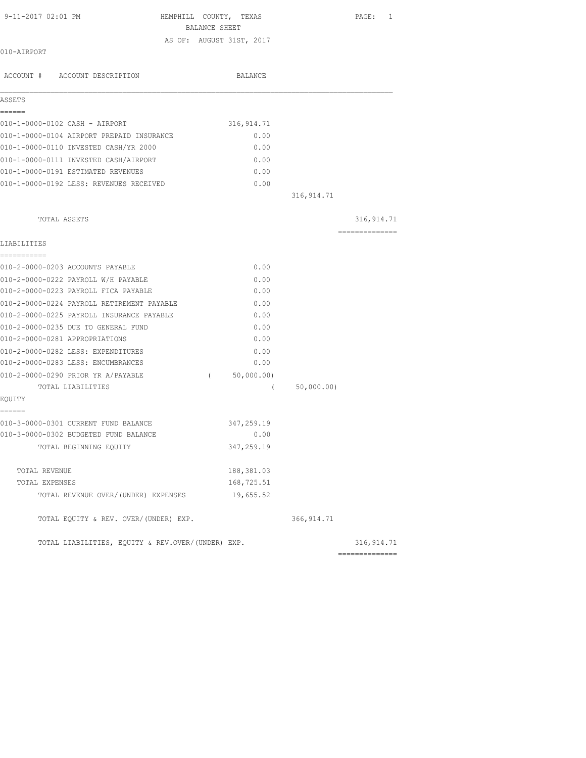| 9-11-2017 02:01 PM                                | HEMPHILL COUNTY, TEXAS<br>BALANCE SHEET |             | PAGE: 1         |
|---------------------------------------------------|-----------------------------------------|-------------|-----------------|
|                                                   | AS OF: AUGUST 31ST, 2017                |             |                 |
| 010-AIRPORT                                       |                                         |             |                 |
| ACCOUNT # ACCOUNT DESCRIPTION                     | BALANCE                                 |             |                 |
| ASSETS                                            |                                         |             |                 |
| ------<br>010-1-0000-0102 CASH - AIRPORT          | 316, 914.71                             |             |                 |
| 010-1-0000-0104 AIRPORT PREPAID INSURANCE         | 0.00                                    |             |                 |
| 010-1-0000-0110 INVESTED CASH/YR 2000             | 0.00                                    |             |                 |
| 010-1-0000-0111 INVESTED CASH/AIRPORT             | 0.00                                    |             |                 |
| 010-1-0000-0191 ESTIMATED REVENUES                | 0.00                                    |             |                 |
| 010-1-0000-0192 LESS: REVENUES RECEIVED           | 0.00                                    |             |                 |
|                                                   |                                         | 316, 914.71 |                 |
| TOTAL ASSETS                                      |                                         |             | 316, 914.71     |
|                                                   |                                         |             | =============== |
| LIABILITIES                                       |                                         |             |                 |
| ===========<br>010-2-0000-0203 ACCOUNTS PAYABLE   | 0.00                                    |             |                 |
| 010-2-0000-0222 PAYROLL W/H PAYABLE               | 0.00                                    |             |                 |
| 010-2-0000-0223 PAYROLL FICA PAYABLE              | 0.00                                    |             |                 |
| 010-2-0000-0224 PAYROLL RETIREMENT PAYABLE        | 0.00                                    |             |                 |
| 010-2-0000-0225 PAYROLL INSURANCE PAYABLE         | 0.00                                    |             |                 |
| 010-2-0000-0235 DUE TO GENERAL FUND               | 0.00                                    |             |                 |
| 010-2-0000-0281 APPROPRIATIONS                    | 0.00                                    |             |                 |
| 010-2-0000-0282 LESS: EXPENDITURES                | 0.00                                    |             |                 |
| 010-2-0000-0283 LESS: ENCUMBRANCES                | 0.00                                    |             |                 |
| 010-2-0000-0290 PRIOR YR A/PAYABLE                | (50,000.00)                             |             |                 |
| TOTAL LIABILITIES                                 | $\left($                                | 50,000.00)  |                 |
| EQUITY                                            |                                         |             |                 |
| ======<br>010-3-0000-0301 CURRENT FUND BALANCE    | 347,259.19                              |             |                 |
| 010-3-0000-0302 BUDGETED FUND BALANCE             | 0.00                                    |             |                 |
| TOTAL BEGINNING EQUITY                            | 347,259.19                              |             |                 |
| TOTAL REVENUE                                     | 188, 381.03                             |             |                 |
| TOTAL EXPENSES                                    | 168,725.51                              |             |                 |
| TOTAL REVENUE OVER/ (UNDER) EXPENSES              | 19,655.52                               |             |                 |
| TOTAL EQUITY & REV. OVER/(UNDER) EXP.             |                                         | 366, 914.71 |                 |
| TOTAL LIABILITIES, EQUITY & REV.OVER/(UNDER) EXP. |                                         |             | 316, 914.71     |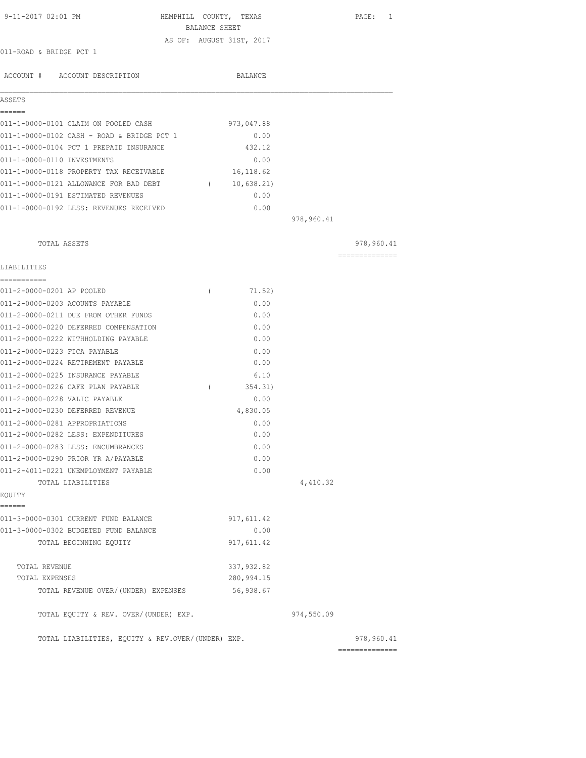| 9-11-2017 02:01 PM                                                           |               | HEMPHILL COUNTY, TEXAS   |            | PAGE: 1        |
|------------------------------------------------------------------------------|---------------|--------------------------|------------|----------------|
|                                                                              | BALANCE SHEET |                          |            |                |
| 011-ROAD & BRIDGE PCT 1                                                      |               | AS OF: AUGUST 31ST, 2017 |            |                |
|                                                                              |               |                          |            |                |
| ACCOUNT # ACCOUNT DESCRIPTION                                                |               | BALANCE                  |            |                |
| ASSETS                                                                       |               |                          |            |                |
| ======                                                                       |               |                          |            |                |
| 011-1-0000-0101 CLAIM ON POOLED CASH                                         |               | 973,047.88               |            |                |
| 011-1-0000-0102 CASH - ROAD & BRIDGE PCT 1                                   |               | 0.00                     |            |                |
| 011-1-0000-0104 PCT 1 PREPAID INSURANCE                                      |               | 432.12                   |            |                |
| 011-1-0000-0110 INVESTMENTS<br>011-1-0000-0118 PROPERTY TAX RECEIVABLE       |               | 0.00                     |            |                |
|                                                                              |               | 16,118.62                |            |                |
| 011-1-0000-0121 ALLOWANCE FOR BAD DEBT<br>011-1-0000-0191 ESTIMATED REVENUES |               | (10, 638.21)<br>0.00     |            |                |
|                                                                              |               |                          |            |                |
| 011-1-0000-0192 LESS: REVENUES RECEIVED                                      |               | 0.00                     | 978,960.41 |                |
|                                                                              |               |                          |            |                |
| TOTAL ASSETS                                                                 |               |                          |            | 978,960.41     |
| LIABILITIES                                                                  |               |                          |            | -------------- |
| ===========                                                                  |               |                          |            |                |
| 011-2-0000-0201 AP POOLED                                                    | $\left($      | 71.52)                   |            |                |
| 011-2-0000-0203 ACOUNTS PAYABLE                                              |               | 0.00                     |            |                |
| 011-2-0000-0211 DUE FROM OTHER FUNDS                                         |               | 0.00                     |            |                |
| 011-2-0000-0220 DEFERRED COMPENSATION                                        |               | 0.00                     |            |                |
| 011-2-0000-0222 WITHHOLDING PAYABLE                                          |               | 0.00                     |            |                |
| 011-2-0000-0223 FICA PAYABLE                                                 |               | 0.00                     |            |                |
| 011-2-0000-0224 RETIREMENT PAYABLE                                           |               | 0.00                     |            |                |
| 011-2-0000-0225 INSURANCE PAYABLE                                            |               | 6.10                     |            |                |
| 011-2-0000-0226 CAFE PLAN PAYABLE                                            | $\left($      | 354.31)                  |            |                |
| 011-2-0000-0228 VALIC PAYABLE                                                |               | 0.00                     |            |                |
| 011-2-0000-0230 DEFERRED REVENUE                                             |               | 4,830.05                 |            |                |
| 011-2-0000-0281 APPROPRIATIONS<br>011-2-0000-0282 LESS: EXPENDITURES         |               | 0.00<br>0.00             |            |                |
| 011-2-0000-0283 LESS: ENCUMBRANCES                                           |               | 0.00                     |            |                |
| 011-2-0000-0290 PRIOR YR A/PAYABLE                                           |               | 0.00                     |            |                |
| 011-2-4011-0221 UNEMPLOYMENT PAYABLE                                         |               | 0.00                     |            |                |
| TOTAL LIABILITIES                                                            |               |                          | 4,410.32   |                |
| EQUITY                                                                       |               |                          |            |                |
| ======<br>011-3-0000-0301 CURRENT FUND BALANCE                               |               | 917,611.42               |            |                |
| 011-3-0000-0302 BUDGETED FUND BALANCE                                        |               | 0.00                     |            |                |
| TOTAL BEGINNING EQUITY                                                       |               | 917,611.42               |            |                |
| TOTAL REVENUE                                                                |               | 337,932.82               |            |                |
| TOTAL EXPENSES                                                               |               | 280,994.15               |            |                |
| TOTAL REVENUE OVER/(UNDER) EXPENSES                                          |               | 56,938.67                |            |                |
| TOTAL EQUITY & REV. OVER/(UNDER) EXP.                                        |               |                          | 974,550.09 |                |
| TOTAL LIABILITIES, EQUITY & REV.OVER/(UNDER) EXP.                            |               |                          |            | 978,960.41     |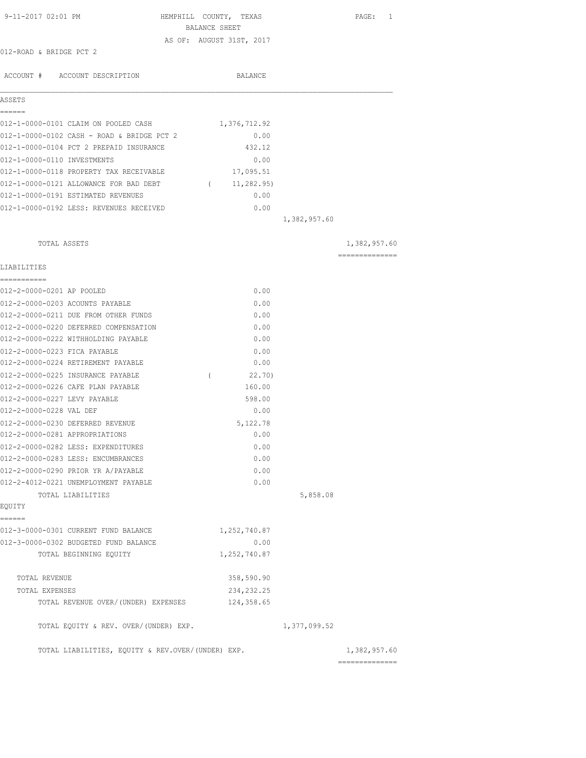| 9-11-2017 02:01 PM                                           | HEMPHILL COUNTY, TEXAS<br>BALANCE SHEET |              | PAGE: 1        |
|--------------------------------------------------------------|-----------------------------------------|--------------|----------------|
| 012-ROAD & BRIDGE PCT 2                                      | AS OF: AUGUST 31ST, 2017                |              |                |
| ACCOUNT # ACCOUNT DESCRIPTION                                | BALANCE                                 |              |                |
| ASSETS                                                       |                                         |              |                |
| ======                                                       |                                         |              |                |
| 012-1-0000-0101 CLAIM ON POOLED CASH                         | 1,376,712.92                            |              |                |
| 012-1-0000-0102 CASH - ROAD & BRIDGE PCT 2                   | 0.00                                    |              |                |
| 012-1-0000-0104 PCT 2 PREPAID INSURANCE                      | 432.12                                  |              |                |
| 012-1-0000-0110 INVESTMENTS                                  | 0.00                                    |              |                |
| 012-1-0000-0118 PROPERTY TAX RECEIVABLE                      | 17,095.51                               |              |                |
| 012-1-0000-0121 ALLOWANCE FOR BAD DEBT                       | (11, 282.95)                            |              |                |
| 012-1-0000-0191 ESTIMATED REVENUES                           | 0.00                                    |              |                |
| 012-1-0000-0192 LESS: REVENUES RECEIVED                      | 0.00                                    |              |                |
|                                                              |                                         | 1,382,957.60 |                |
| TOTAL ASSETS                                                 |                                         |              | 1,382,957.60   |
| LIABILITIES                                                  |                                         |              | ============== |
| -----------                                                  |                                         |              |                |
| 012-2-0000-0201 AP POOLED<br>012-2-0000-0203 ACOUNTS PAYABLE | 0.00                                    |              |                |
| 012-2-0000-0211 DUE FROM OTHER FUNDS                         | 0.00<br>0.00                            |              |                |
| 012-2-0000-0220 DEFERRED COMPENSATION                        | 0.00                                    |              |                |
| 012-2-0000-0222 WITHHOLDING PAYABLE                          | 0.00                                    |              |                |
| 012-2-0000-0223 FICA PAYABLE                                 | 0.00                                    |              |                |
| 012-2-0000-0224 RETIREMENT PAYABLE                           | 0.00                                    |              |                |
| 012-2-0000-0225 INSURANCE PAYABLE                            | 22.70)<br>$\left($                      |              |                |
| 012-2-0000-0226 CAFE PLAN PAYABLE                            | 160.00                                  |              |                |
| 012-2-0000-0227 LEVY PAYABLE                                 | 598.00                                  |              |                |
| 012-2-0000-0228 VAL DEF                                      | 0.00                                    |              |                |
| 012-2-0000-0230 DEFERRED REVENUE                             | 5,122.78                                |              |                |
| 012-2-0000-0281 APPROPRIATIONS                               | 0.00                                    |              |                |
| 012-2-0000-0282 LESS: EXPENDITURES                           | 0.00                                    |              |                |
| 012-2-0000-0283 LESS: ENCUMBRANCES                           | 0.00                                    |              |                |
| 012-2-0000-0290 PRIOR YR A/PAYABLE                           | 0.00                                    |              |                |
| 012-2-4012-0221 UNEMPLOYMENT PAYABLE                         | 0.00                                    |              |                |
| TOTAL LIABILITIES                                            |                                         | 5,858.08     |                |
| EQUITY                                                       |                                         |              |                |
| ======<br>012-3-0000-0301 CURRENT FUND BALANCE               | 1,252,740.87                            |              |                |
| 012-3-0000-0302 BUDGETED FUND BALANCE                        | 0.00                                    |              |                |
| TOTAL BEGINNING EQUITY                                       | 1,252,740.87                            |              |                |
|                                                              |                                         |              |                |
| TOTAL REVENUE                                                | 358,590.90                              |              |                |
| TOTAL EXPENSES                                               | 234, 232. 25                            |              |                |
| TOTAL REVENUE OVER/(UNDER) EXPENSES                          | 124,358.65                              |              |                |
| TOTAL EQUITY & REV. OVER/(UNDER) EXP.                        |                                         | 1,377,099.52 |                |
| TOTAL LIABILITIES, EQUITY & REV.OVER/(UNDER) EXP.            |                                         |              | 1,382,957.60   |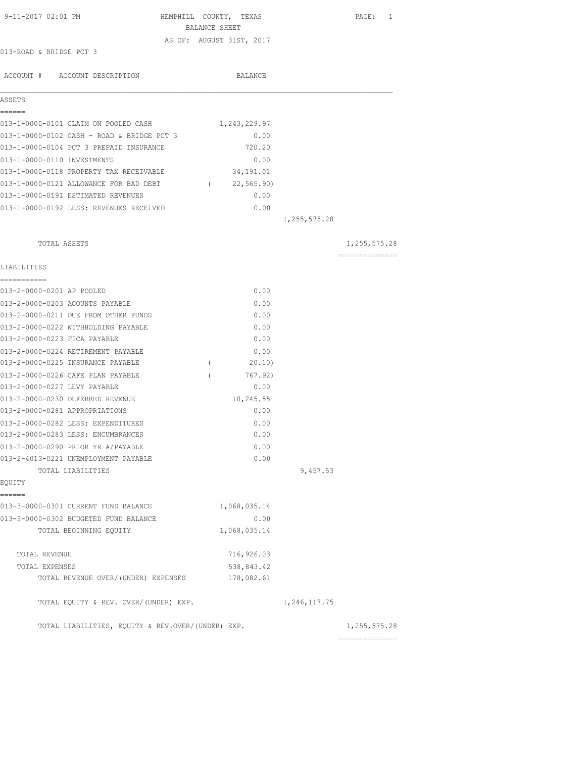| 9-11-2017 02:01 PM                                     |          | HEMPHILL COUNTY, TEXAS   |                | PAGE: 1         |
|--------------------------------------------------------|----------|--------------------------|----------------|-----------------|
|                                                        |          | BALANCE SHEET            |                |                 |
| 013-ROAD & BRIDGE PCT 3                                |          | AS OF: AUGUST 31ST, 2017 |                |                 |
|                                                        |          |                          |                |                 |
| ACCOUNT # ACCOUNT DESCRIPTION                          |          | BALANCE                  |                |                 |
|                                                        |          |                          |                |                 |
| ASSETS<br>------                                       |          |                          |                |                 |
| 013-1-0000-0101 CLAIM ON POOLED CASH                   |          | 1,243,229.97             |                |                 |
| 013-1-0000-0102 CASH - ROAD & BRIDGE PCT 3             |          | 0.00                     |                |                 |
| 013-1-0000-0104 PCT 3 PREPAID INSURANCE                |          | 720.20                   |                |                 |
| 013-1-0000-0110 INVESTMENTS                            |          | 0.00                     |                |                 |
| 013-1-0000-0118 PROPERTY TAX RECEIVABLE                |          | 34,191.01                |                |                 |
| 013-1-0000-0121 ALLOWANCE FOR BAD DEBT (22,565.90)     |          |                          |                |                 |
| 013-1-0000-0191 ESTIMATED REVENUES                     |          | 0.00                     |                |                 |
| 013-1-0000-0192 LESS: REVENUES RECEIVED                |          | 0.00                     |                |                 |
|                                                        |          |                          | 1, 255, 575.28 |                 |
| TOTAL ASSETS                                           |          |                          |                | 1,255,575.28    |
|                                                        |          |                          |                | --------------- |
| LIABILITIES                                            |          |                          |                |                 |
| 013-2-0000-0201 AP POOLED                              |          | 0.00                     |                |                 |
| 013-2-0000-0203 ACOUNTS PAYABLE                        |          | 0.00                     |                |                 |
| 013-2-0000-0211 DUE FROM OTHER FUNDS                   |          | 0.00                     |                |                 |
| 013-2-0000-0222 WITHHOLDING PAYABLE                    |          | 0.00                     |                |                 |
| 013-2-0000-0223 FICA PAYABLE                           |          | 0.00                     |                |                 |
| 013-2-0000-0224 RETIREMENT PAYABLE                     |          | 0.00                     |                |                 |
| 013-2-0000-0225 INSURANCE PAYABLE                      | $\left($ | 20.10)                   |                |                 |
| 013-2-0000-0226 CAFE PLAN PAYABLE                      | $\left($ | 767.92)                  |                |                 |
| 013-2-0000-0227 LEVY PAYABLE                           |          | 0.00                     |                |                 |
| 013-2-0000-0230 DEFERRED REVENUE                       |          | 10,245.55                |                |                 |
| 013-2-0000-0281 APPROPRIATIONS                         |          | 0.00                     |                |                 |
| 013-2-0000-0282 LESS: EXPENDITURES                     |          | 0.00                     |                |                 |
| 013-2-0000-0283 LESS: ENCUMBRANCES                     |          | 0.00                     |                |                 |
| 013-2-0000-0290 PRIOR YR A/PAYABLE                     |          | 0.00                     |                |                 |
| 013-2-4013-0221 UNEMPLOYMENT PAYABLE                   |          | 0.00                     |                |                 |
| TOTAL LIABILITIES                                      |          |                          | 9,457.53       |                 |
| EQUITY                                                 |          |                          |                |                 |
| ======<br>013-3-0000-0301 CURRENT FUND BALANCE         |          | 1,068,035.14             |                |                 |
| 013-3-0000-0302 BUDGETED FUND BALANCE                  |          | 0.00                     |                |                 |
| TOTAL BEGINNING EQUITY                                 |          | 1,068,035.14             |                |                 |
| TOTAL REVENUE                                          |          | 716,926.03               |                |                 |
|                                                        |          | 538,843.42               |                |                 |
| TOTAL EXPENSES<br>TOTAL REVENUE OVER/ (UNDER) EXPENSES |          | 178,082.61               |                |                 |
|                                                        |          |                          |                |                 |
| TOTAL EQUITY & REV. OVER/(UNDER) EXP.                  |          |                          | 1,246,117.75   |                 |
| TOTAL LIABILITIES, EQUITY & REV.OVER/(UNDER) EXP.      |          |                          |                | 1,255,575.28    |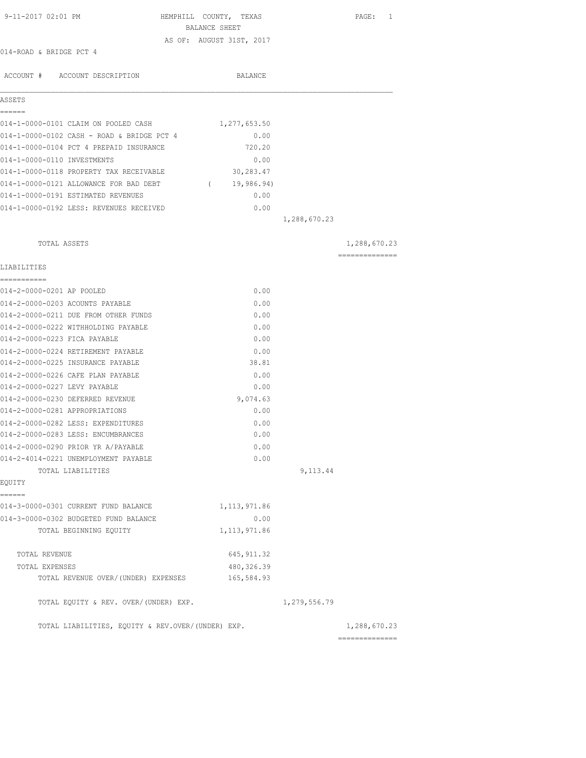| 9-11-2017 02:01 PM                                 | HEMPHILL COUNTY, TEXAS   |              | PAGE: 1        |
|----------------------------------------------------|--------------------------|--------------|----------------|
|                                                    | BALANCE SHEET            |              |                |
| 014-ROAD & BRIDGE PCT 4                            | AS OF: AUGUST 31ST, 2017 |              |                |
|                                                    |                          |              |                |
| ACCOUNT # ACCOUNT DESCRIPTION                      | BALANCE                  |              |                |
|                                                    |                          |              |                |
| ASSETS                                             |                          |              |                |
| ------<br>014-1-0000-0101 CLAIM ON POOLED CASH     | 1,277,653.50             |              |                |
| 014-1-0000-0102 CASH - ROAD & BRIDGE PCT 4         |                          | 0.00         |                |
| 014-1-0000-0104 PCT 4 PREPAID INSURANCE            |                          | 720.20       |                |
| 014-1-0000-0110 INVESTMENTS                        |                          | 0.00         |                |
| 014-1-0000-0118 PROPERTY TAX RECEIVABLE            | 30,283.47                |              |                |
| 014-1-0000-0121 ALLOWANCE FOR BAD DEBT (19,986.94) |                          |              |                |
| 014-1-0000-0191 ESTIMATED REVENUES                 |                          | 0.00         |                |
| 014-1-0000-0192 LESS: REVENUES RECEIVED            |                          | 0.00         |                |
|                                                    |                          | 1,288,670.23 |                |
| TOTAL ASSETS                                       |                          |              | 1,288,670.23   |
|                                                    |                          |              | ============== |
| LIABILITIES                                        |                          |              |                |
| 014-2-0000-0201 AP POOLED                          |                          | 0.00         |                |
| 014-2-0000-0203 ACOUNTS PAYABLE                    |                          | 0.00         |                |
| 014-2-0000-0211 DUE FROM OTHER FUNDS               |                          | 0.00         |                |
| 014-2-0000-0222 WITHHOLDING PAYABLE                |                          | 0.00         |                |
| 014-2-0000-0223 FICA PAYABLE                       |                          | 0.00         |                |
| 014-2-0000-0224 RETIREMENT PAYABLE                 |                          | 0.00         |                |
| 014-2-0000-0225 INSURANCE PAYABLE                  |                          | 38.81        |                |
| 014-2-0000-0226 CAFE PLAN PAYABLE                  |                          | 0.00         |                |
| 014-2-0000-0227 LEVY PAYABLE                       |                          | 0.00         |                |
| 014-2-0000-0230 DEFERRED REVENUE                   | 9,074.63                 |              |                |
| 014-2-0000-0281 APPROPRIATIONS                     |                          | 0.00         |                |
| 014-2-0000-0282 LESS: EXPENDITURES                 |                          | 0.00         |                |
| 014-2-0000-0283 LESS: ENCUMBRANCES                 |                          | 0.00         |                |
| 014-2-0000-0290 PRIOR YR A/PAYABLE                 |                          | 0.00         |                |
| 014-2-4014-0221 UNEMPLOYMENT PAYABLE               |                          | 0.00         |                |
| TOTAL LIABILITIES                                  |                          | 9,113.44     |                |
| EQUITY                                             |                          |              |                |
| ======                                             |                          |              |                |
| 014-3-0000-0301 CURRENT FUND BALANCE               | 1, 113, 971.86           |              |                |
| 014-3-0000-0302 BUDGETED FUND BALANCE              |                          | 0.00         |                |
| TOTAL BEGINNING EQUITY                             | 1, 113, 971.86           |              |                |
| TOTAL REVENUE                                      | 645, 911.32              |              |                |
| TOTAL EXPENSES                                     | 480, 326.39              |              |                |
| TOTAL REVENUE OVER/(UNDER) EXPENSES                | 165,584.93               |              |                |
| TOTAL EQUITY & REV. OVER/(UNDER) EXP.              |                          | 1,279,556.79 |                |
| TOTAL LIABILITIES, EQUITY & REV.OVER/(UNDER) EXP.  |                          |              | 1,288,670.23   |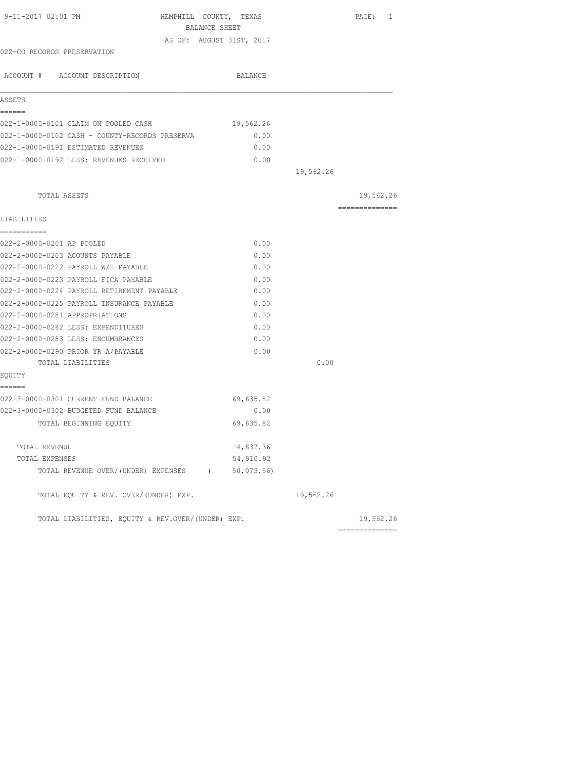| 9-11-2017 02:01 PM<br>HEMPHILL COUNTY, TEXAS<br>BALANCE SHEET |                          |           | PAGE: 1         |
|---------------------------------------------------------------|--------------------------|-----------|-----------------|
|                                                               | AS OF: AUGUST 31ST, 2017 |           |                 |
| 022-CO RECORDS PRESERVATION                                   |                          |           |                 |
|                                                               |                          |           |                 |
| ACCOUNT # ACCOUNT DESCRIPTION                                 | BALANCE                  |           |                 |
| ASSETS                                                        |                          |           |                 |
| ======                                                        |                          |           |                 |
| 022-1-0000-0101 CLAIM ON POOLED CASH                          | 19,562.26                |           |                 |
| 022-1-0000-0102 CASH - COUNTY-RECORDS PRESERVA                | 0.00                     |           |                 |
| 022-1-0000-0191 ESTIMATED REVENUES                            | 0.00                     |           |                 |
| 022-1-0000-0192 LESS: REVENUES RECEIVED                       | 0.00                     |           |                 |
|                                                               |                          | 19,562.26 |                 |
| TOTAL ASSETS                                                  |                          |           | 19,562.26       |
| LIABILITIES                                                   |                          |           | --------------- |
| ===========                                                   |                          |           |                 |
| 022-2-0000-0201 AP POOLED                                     | 0.00                     |           |                 |
| 022-2-0000-0203 ACOUNTS PAYABLE                               | 0.00                     |           |                 |
| 022-2-0000-0222 PAYROLL W/H PAYABLE                           | 0.00                     |           |                 |
| 022-2-0000-0223 PAYROLL FICA PAYABLE                          | 0.00                     |           |                 |
| 022-2-0000-0224 PAYROLL RETIREMENT PAYABLE                    | 0.00                     |           |                 |
| 022-2-0000-0225 PAYROLL INSURANCE PAYABLE                     | 0.00                     |           |                 |
| 022-2-0000-0281 APPROPRIATIONS                                | 0.00                     |           |                 |
| 022-2-0000-0282 LESS: EXPENDITURES                            | 0.00                     |           |                 |
| 022-2-0000-0283 LESS: ENCUMBRANCES                            | 0.00                     |           |                 |
| 022-2-0000-0290 PRIOR YR A/PAYABLE                            | 0.00                     |           |                 |
| TOTAL LIABILITIES                                             |                          | 0.00      |                 |
| EOUITY                                                        |                          |           |                 |
| ======<br>022-3-0000-0301 CURRENT FUND BALANCE                |                          |           |                 |
| 022-3-0000-0302 BUDGETED FUND BALANCE                         | 69,635.82<br>0.00        |           |                 |
|                                                               |                          |           |                 |
| TOTAL BEGINNING EOUITY                                        | 69,635.82                |           |                 |
| TOTAL REVENUE                                                 | 4,837.36                 |           |                 |
| TOTAL EXPENSES                                                | 54,910.92                |           |                 |
| TOTAL REVENUE OVER/(UNDER) EXPENSES (                         | 50,073.56                |           |                 |
| TOTAL EQUITY & REV. OVER/(UNDER) EXP.                         |                          | 19,562.26 |                 |
| TOTAL LIABILITIES, EQUITY & REV.OVER/(UNDER) EXP.             |                          |           | 19,562.26       |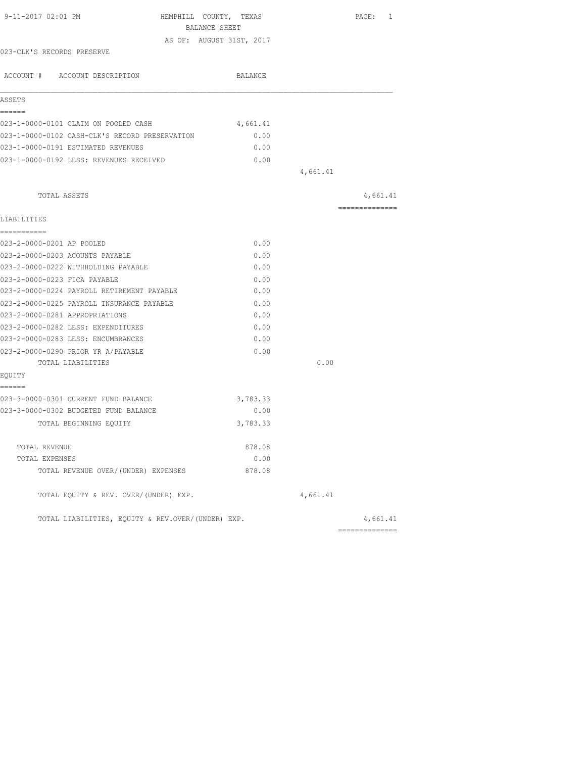| 9-11-2017 02:01 PM                                | HEMPHILL COUNTY, TEXAS   |          |          | PAGE: 1        |  |
|---------------------------------------------------|--------------------------|----------|----------|----------------|--|
|                                                   | BALANCE SHEET            |          |          |                |  |
|                                                   | AS OF: AUGUST 31ST, 2017 |          |          |                |  |
| 023-CLK'S RECORDS PRESERVE                        |                          |          |          |                |  |
| ACCOUNT # ACCOUNT DESCRIPTION                     |                          | BALANCE  |          |                |  |
| ASSETS                                            |                          |          |          |                |  |
| ======                                            |                          |          |          |                |  |
| 023-1-0000-0101 CLAIM ON POOLED CASH              |                          | 4,661.41 |          |                |  |
| 023-1-0000-0102 CASH-CLK'S RECORD PRESERVATION    |                          | 0.00     |          |                |  |
| 023-1-0000-0191 ESTIMATED REVENUES                |                          | 0.00     |          |                |  |
| 023-1-0000-0192 LESS: REVENUES RECEIVED           |                          | 0.00     |          |                |  |
|                                                   |                          |          | 4,661.41 |                |  |
| TOTAL ASSETS                                      |                          |          |          | 4,661.41       |  |
|                                                   |                          |          |          | -------------- |  |
| LIABILITIES<br>===========                        |                          |          |          |                |  |
| 023-2-0000-0201 AP POOLED                         |                          | 0.00     |          |                |  |
| 023-2-0000-0203 ACOUNTS PAYABLE                   |                          | 0.00     |          |                |  |
| 023-2-0000-0222 WITHHOLDING PAYABLE               |                          | 0.00     |          |                |  |
| 023-2-0000-0223 FICA PAYABLE                      |                          | 0.00     |          |                |  |
| 023-2-0000-0224 PAYROLL RETIREMENT PAYABLE        |                          | 0.00     |          |                |  |
| 023-2-0000-0225 PAYROLL INSURANCE PAYABLE         |                          | 0.00     |          |                |  |
| 023-2-0000-0281 APPROPRIATIONS                    |                          | 0.00     |          |                |  |
| 023-2-0000-0282 LESS: EXPENDITURES                |                          | 0.00     |          |                |  |
| 023-2-0000-0283 LESS: ENCUMBRANCES                |                          | 0.00     |          |                |  |
| 023-2-0000-0290 PRIOR YR A/PAYABLE                |                          | 0.00     |          |                |  |
| TOTAL LIABILITIES                                 |                          |          | 0.00     |                |  |
| EQUITY                                            |                          |          |          |                |  |
| ======                                            |                          |          |          |                |  |
| 023-3-0000-0301 CURRENT FUND BALANCE              |                          | 3,783.33 |          |                |  |
| 023-3-0000-0302 BUDGETED FUND BALANCE             |                          | 0.00     |          |                |  |
| TOTAL BEGINNING EOUITY                            |                          | 3,783.33 |          |                |  |
|                                                   |                          |          |          |                |  |
| TOTAL REVENUE                                     |                          | 878.08   |          |                |  |
| TOTAL EXPENSES                                    |                          | 0.00     |          |                |  |
| TOTAL REVENUE OVER/(UNDER) EXPENSES               |                          | 878.08   |          |                |  |
| TOTAL EQUITY & REV. OVER/(UNDER) EXP.             |                          |          | 4,661.41 |                |  |
| TOTAL LIABILITIES, EQUITY & REV.OVER/(UNDER) EXP. |                          |          |          | 4,661.41       |  |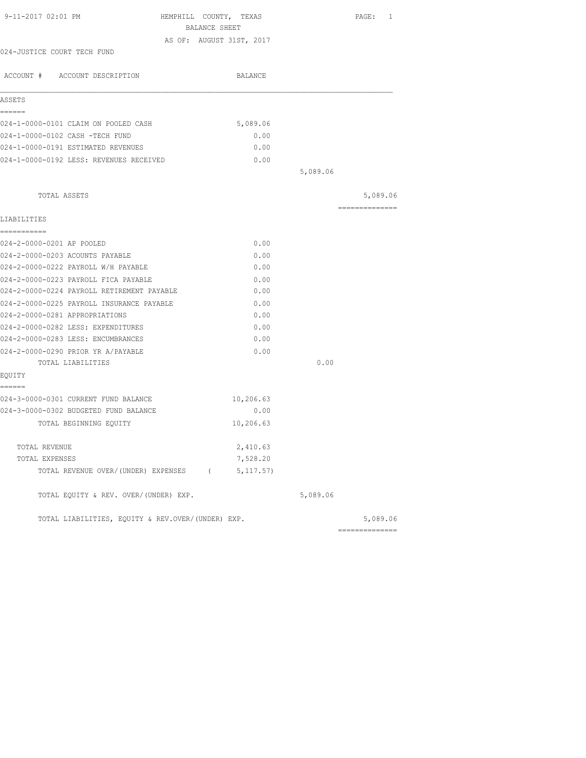| BALANCE SHEET<br>AS OF: AUGUST 31ST, 2017<br>024-JUSTICE COURT TECH FUND<br>ACCOUNT # ACCOUNT DESCRIPTION<br>BALANCE<br>ASSETS<br>======<br>5,089.06<br>024-1-0000-0101 CLAIM ON POOLED CASH<br>024-1-0000-0102 CASH -TECH FUND<br>0.00<br>024-1-0000-0191 ESTIMATED REVENUES<br>0.00<br>024-1-0000-0192 LESS: REVENUES RECEIVED<br>0.00 |                |
|------------------------------------------------------------------------------------------------------------------------------------------------------------------------------------------------------------------------------------------------------------------------------------------------------------------------------------------|----------------|
|                                                                                                                                                                                                                                                                                                                                          |                |
|                                                                                                                                                                                                                                                                                                                                          |                |
|                                                                                                                                                                                                                                                                                                                                          |                |
|                                                                                                                                                                                                                                                                                                                                          |                |
|                                                                                                                                                                                                                                                                                                                                          |                |
|                                                                                                                                                                                                                                                                                                                                          |                |
|                                                                                                                                                                                                                                                                                                                                          |                |
|                                                                                                                                                                                                                                                                                                                                          |                |
|                                                                                                                                                                                                                                                                                                                                          |                |
|                                                                                                                                                                                                                                                                                                                                          |                |
| 5,089.06                                                                                                                                                                                                                                                                                                                                 |                |
| TOTAL ASSETS                                                                                                                                                                                                                                                                                                                             | 5,089.06       |
| LIABILITIES                                                                                                                                                                                                                                                                                                                              | ============== |
| -----------                                                                                                                                                                                                                                                                                                                              |                |
| 024-2-0000-0201 AP POOLED<br>0.00                                                                                                                                                                                                                                                                                                        |                |
| 024-2-0000-0203 ACOUNTS PAYABLE<br>0.00                                                                                                                                                                                                                                                                                                  |                |
| 024-2-0000-0222 PAYROLL W/H PAYABLE<br>0.00                                                                                                                                                                                                                                                                                              |                |
| 0.00<br>024-2-0000-0223 PAYROLL FICA PAYABLE                                                                                                                                                                                                                                                                                             |                |
| 024-2-0000-0224 PAYROLL RETIREMENT PAYABLE<br>0.00                                                                                                                                                                                                                                                                                       |                |
| 024-2-0000-0225 PAYROLL INSURANCE PAYABLE<br>0.00                                                                                                                                                                                                                                                                                        |                |
| 024-2-0000-0281 APPROPRIATIONS<br>0.00                                                                                                                                                                                                                                                                                                   |                |
| 024-2-0000-0282 LESS: EXPENDITURES<br>0.00                                                                                                                                                                                                                                                                                               |                |
| 024-2-0000-0283 LESS: ENCUMBRANCES<br>0.00                                                                                                                                                                                                                                                                                               |                |
| 024-2-0000-0290 PRIOR YR A/PAYABLE<br>0.00                                                                                                                                                                                                                                                                                               |                |
| 0.00<br>TOTAL LIABILITIES                                                                                                                                                                                                                                                                                                                |                |
| EQUITY                                                                                                                                                                                                                                                                                                                                   |                |
| ======                                                                                                                                                                                                                                                                                                                                   |                |
| 024-3-0000-0301 CURRENT FUND BALANCE<br>10,206.63                                                                                                                                                                                                                                                                                        |                |
| 024-3-0000-0302 BUDGETED FUND BALANCE<br>0.00                                                                                                                                                                                                                                                                                            |                |
| 10,206.63<br>TOTAL BEGINNING EQUITY                                                                                                                                                                                                                                                                                                      |                |
| TOTAL REVENUE                                                                                                                                                                                                                                                                                                                            |                |
| 2,410.63<br>7,528.20<br>TOTAL EXPENSES                                                                                                                                                                                                                                                                                                   |                |
| TOTAL REVENUE OVER/(UNDER) EXPENSES (5,117.57)                                                                                                                                                                                                                                                                                           |                |
| TOTAL EQUITY & REV. OVER/(UNDER) EXP.<br>5,089.06                                                                                                                                                                                                                                                                                        |                |
|                                                                                                                                                                                                                                                                                                                                          |                |
| TOTAL LIABILITIES, EOUITY & REV.OVER/(UNDER) EXP.<br>---------------                                                                                                                                                                                                                                                                     | 5,089.06       |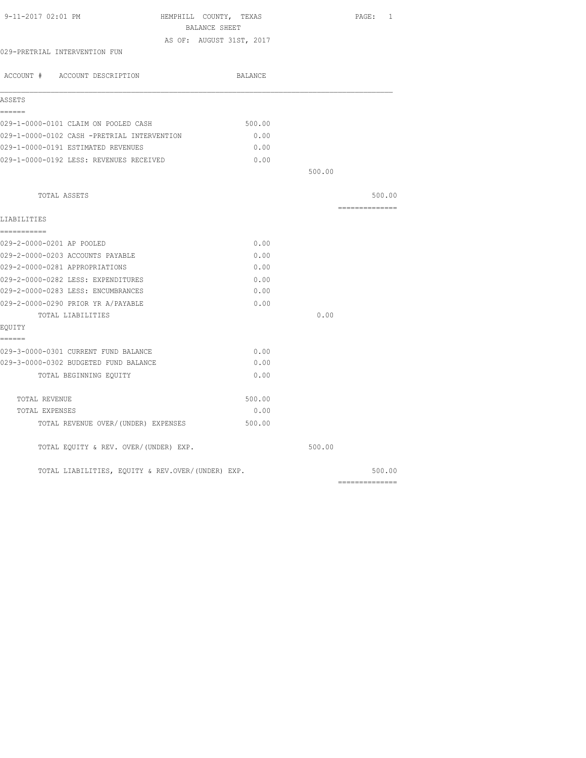| 9-11-2017 02:01 PM                                | HEMPHILL COUNTY, TEXAS<br>BALANCE SHEET |        | PAGE: 1                                                                                                                                                                                                                                                                                                                                                                                                                                                                                |
|---------------------------------------------------|-----------------------------------------|--------|----------------------------------------------------------------------------------------------------------------------------------------------------------------------------------------------------------------------------------------------------------------------------------------------------------------------------------------------------------------------------------------------------------------------------------------------------------------------------------------|
|                                                   | AS OF: AUGUST 31ST, 2017                |        |                                                                                                                                                                                                                                                                                                                                                                                                                                                                                        |
| 029-PRETRIAL INTERVENTION FUN                     |                                         |        |                                                                                                                                                                                                                                                                                                                                                                                                                                                                                        |
| ACCOUNT # ACCOUNT DESCRIPTION                     | BALANCE                                 |        |                                                                                                                                                                                                                                                                                                                                                                                                                                                                                        |
| ASSETS                                            |                                         |        |                                                                                                                                                                                                                                                                                                                                                                                                                                                                                        |
| ======                                            |                                         |        |                                                                                                                                                                                                                                                                                                                                                                                                                                                                                        |
| 029-1-0000-0101 CLAIM ON POOLED CASH              | 500.00                                  |        |                                                                                                                                                                                                                                                                                                                                                                                                                                                                                        |
| 029-1-0000-0102 CASH -PRETRIAL INTERVENTION       | 0.00                                    |        |                                                                                                                                                                                                                                                                                                                                                                                                                                                                                        |
| 029-1-0000-0191 ESTIMATED REVENUES                | 0.00                                    |        |                                                                                                                                                                                                                                                                                                                                                                                                                                                                                        |
| 029-1-0000-0192 LESS: REVENUES RECEIVED           | 0.00                                    |        |                                                                                                                                                                                                                                                                                                                                                                                                                                                                                        |
|                                                   |                                         | 500.00 |                                                                                                                                                                                                                                                                                                                                                                                                                                                                                        |
| TOTAL ASSETS                                      |                                         |        | 500.00                                                                                                                                                                                                                                                                                                                                                                                                                                                                                 |
| LIABILITIES                                       |                                         |        | $\begin{array}{cccccccccc} \multicolumn{2}{c}{} & \multicolumn{2}{c}{} & \multicolumn{2}{c}{} & \multicolumn{2}{c}{} & \multicolumn{2}{c}{} & \multicolumn{2}{c}{} & \multicolumn{2}{c}{} & \multicolumn{2}{c}{} & \multicolumn{2}{c}{} & \multicolumn{2}{c}{} & \multicolumn{2}{c}{} & \multicolumn{2}{c}{} & \multicolumn{2}{c}{} & \multicolumn{2}{c}{} & \multicolumn{2}{c}{} & \multicolumn{2}{c}{} & \multicolumn{2}{c}{} & \multicolumn{2}{c}{} & \multicolumn{2}{c}{} & \mult$ |
| ===========                                       |                                         |        |                                                                                                                                                                                                                                                                                                                                                                                                                                                                                        |
| 029-2-0000-0201 AP POOLED                         | 0.00                                    |        |                                                                                                                                                                                                                                                                                                                                                                                                                                                                                        |
| 029-2-0000-0203 ACCOUNTS PAYABLE                  | 0.00                                    |        |                                                                                                                                                                                                                                                                                                                                                                                                                                                                                        |
| 029-2-0000-0281 APPROPRIATIONS                    | 0.00                                    |        |                                                                                                                                                                                                                                                                                                                                                                                                                                                                                        |
| 029-2-0000-0282 LESS: EXPENDITURES                | 0.00                                    |        |                                                                                                                                                                                                                                                                                                                                                                                                                                                                                        |
| 029-2-0000-0283 LESS: ENCUMBRANCES                | 0.00                                    |        |                                                                                                                                                                                                                                                                                                                                                                                                                                                                                        |
| 029-2-0000-0290 PRIOR YR A/PAYABLE                | 0.00                                    |        |                                                                                                                                                                                                                                                                                                                                                                                                                                                                                        |
| TOTAL LIABILITIES                                 |                                         | 0.00   |                                                                                                                                                                                                                                                                                                                                                                                                                                                                                        |
| EQUITY                                            |                                         |        |                                                                                                                                                                                                                                                                                                                                                                                                                                                                                        |
| ------                                            |                                         |        |                                                                                                                                                                                                                                                                                                                                                                                                                                                                                        |
| 029-3-0000-0301 CURRENT FUND BALANCE              | 0.00                                    |        |                                                                                                                                                                                                                                                                                                                                                                                                                                                                                        |
| 029-3-0000-0302 BUDGETED FUND BALANCE             | 0.00                                    |        |                                                                                                                                                                                                                                                                                                                                                                                                                                                                                        |
| TOTAL BEGINNING EQUITY                            | 0.00                                    |        |                                                                                                                                                                                                                                                                                                                                                                                                                                                                                        |
| TOTAL REVENUE                                     | 500.00                                  |        |                                                                                                                                                                                                                                                                                                                                                                                                                                                                                        |
| TOTAL EXPENSES                                    | 0.00                                    |        |                                                                                                                                                                                                                                                                                                                                                                                                                                                                                        |
| TOTAL REVENUE OVER/(UNDER) EXPENSES               | 500.00                                  |        |                                                                                                                                                                                                                                                                                                                                                                                                                                                                                        |
| TOTAL EQUITY & REV. OVER/(UNDER) EXP.             |                                         | 500.00 |                                                                                                                                                                                                                                                                                                                                                                                                                                                                                        |
| TOTAL LIABILITIES, EQUITY & REV.OVER/(UNDER) EXP. |                                         |        | 500.00                                                                                                                                                                                                                                                                                                                                                                                                                                                                                 |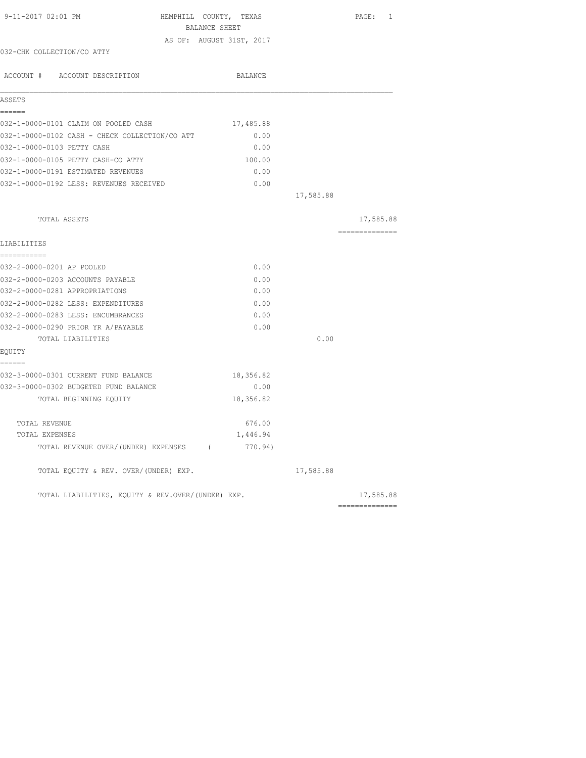| 9-11-2017 02:01 PM                                | HEMPHILL COUNTY, TEXAS<br>BALANCE SHEET |           | PAGE: 1                                                                                                                                                                                                                                                                                                                                                                                                                                                                                |
|---------------------------------------------------|-----------------------------------------|-----------|----------------------------------------------------------------------------------------------------------------------------------------------------------------------------------------------------------------------------------------------------------------------------------------------------------------------------------------------------------------------------------------------------------------------------------------------------------------------------------------|
|                                                   | AS OF: AUGUST 31ST, 2017                |           |                                                                                                                                                                                                                                                                                                                                                                                                                                                                                        |
| 032-CHK COLLECTION/CO ATTY                        |                                         |           |                                                                                                                                                                                                                                                                                                                                                                                                                                                                                        |
| ACCOUNT # ACCOUNT DESCRIPTION                     | BALANCE                                 |           |                                                                                                                                                                                                                                                                                                                                                                                                                                                                                        |
| ASSETS                                            |                                         |           |                                                                                                                                                                                                                                                                                                                                                                                                                                                                                        |
| ======<br>032-1-0000-0101 CLAIM ON POOLED CASH    | 17,485.88                               |           |                                                                                                                                                                                                                                                                                                                                                                                                                                                                                        |
| 032-1-0000-0102 CASH - CHECK COLLECTION/CO ATT    | 0.00                                    |           |                                                                                                                                                                                                                                                                                                                                                                                                                                                                                        |
| 032-1-0000-0103 PETTY CASH                        | 0.00                                    |           |                                                                                                                                                                                                                                                                                                                                                                                                                                                                                        |
| 032-1-0000-0105 PETTY CASH-CO ATTY                | 100.00                                  |           |                                                                                                                                                                                                                                                                                                                                                                                                                                                                                        |
| 032-1-0000-0191 ESTIMATED REVENUES                | 0.00                                    |           |                                                                                                                                                                                                                                                                                                                                                                                                                                                                                        |
| 032-1-0000-0192 LESS: REVENUES RECEIVED           | 0.00                                    |           |                                                                                                                                                                                                                                                                                                                                                                                                                                                                                        |
|                                                   |                                         | 17,585.88 |                                                                                                                                                                                                                                                                                                                                                                                                                                                                                        |
| TOTAL ASSETS                                      |                                         |           | 17,585.88                                                                                                                                                                                                                                                                                                                                                                                                                                                                              |
| LIABILITIES                                       |                                         |           | $\begin{array}{cccccccccccccc} \multicolumn{2}{c}{} & \multicolumn{2}{c}{} & \multicolumn{2}{c}{} & \multicolumn{2}{c}{} & \multicolumn{2}{c}{} & \multicolumn{2}{c}{} & \multicolumn{2}{c}{} & \multicolumn{2}{c}{} & \multicolumn{2}{c}{} & \multicolumn{2}{c}{} & \multicolumn{2}{c}{} & \multicolumn{2}{c}{} & \multicolumn{2}{c}{} & \multicolumn{2}{c}{} & \multicolumn{2}{c}{} & \multicolumn{2}{c}{} & \multicolumn{2}{c}{} & \multicolumn{2}{c}{} & \multicolumn{2}{c}{} & \$ |
| ===========<br>032-2-0000-0201 AP POOLED          | 0.00                                    |           |                                                                                                                                                                                                                                                                                                                                                                                                                                                                                        |
| 032-2-0000-0203 ACCOUNTS PAYABLE                  | 0.00                                    |           |                                                                                                                                                                                                                                                                                                                                                                                                                                                                                        |
| 032-2-0000-0281 APPROPRIATIONS                    | 0.00                                    |           |                                                                                                                                                                                                                                                                                                                                                                                                                                                                                        |
| 032-2-0000-0282 LESS: EXPENDITURES                | 0.00                                    |           |                                                                                                                                                                                                                                                                                                                                                                                                                                                                                        |
| 032-2-0000-0283 LESS: ENCUMBRANCES                | 0.00                                    |           |                                                                                                                                                                                                                                                                                                                                                                                                                                                                                        |
| 032-2-0000-0290 PRIOR YR A/PAYABLE                | 0.00                                    |           |                                                                                                                                                                                                                                                                                                                                                                                                                                                                                        |
| TOTAL LIABILITIES                                 |                                         | 0.00      |                                                                                                                                                                                                                                                                                                                                                                                                                                                                                        |
| EQUITY<br>------                                  |                                         |           |                                                                                                                                                                                                                                                                                                                                                                                                                                                                                        |
| 032-3-0000-0301 CURRENT FUND BALANCE              | 18,356.82                               |           |                                                                                                                                                                                                                                                                                                                                                                                                                                                                                        |
| 032-3-0000-0302 BUDGETED FUND BALANCE             | 0.00                                    |           |                                                                                                                                                                                                                                                                                                                                                                                                                                                                                        |
| TOTAL BEGINNING EQUITY                            | 18,356.82                               |           |                                                                                                                                                                                                                                                                                                                                                                                                                                                                                        |
| TOTAL REVENUE                                     | 676.00                                  |           |                                                                                                                                                                                                                                                                                                                                                                                                                                                                                        |
| TOTAL EXPENSES                                    | 1,446.94                                |           |                                                                                                                                                                                                                                                                                                                                                                                                                                                                                        |
| TOTAL REVENUE OVER/(UNDER) EXPENSES (             | 770.94)                                 |           |                                                                                                                                                                                                                                                                                                                                                                                                                                                                                        |
| TOTAL EQUITY & REV. OVER/(UNDER) EXP.             |                                         | 17,585.88 |                                                                                                                                                                                                                                                                                                                                                                                                                                                                                        |
| TOTAL LIABILITIES, EQUITY & REV.OVER/(UNDER) EXP. |                                         |           | 17,585.88                                                                                                                                                                                                                                                                                                                                                                                                                                                                              |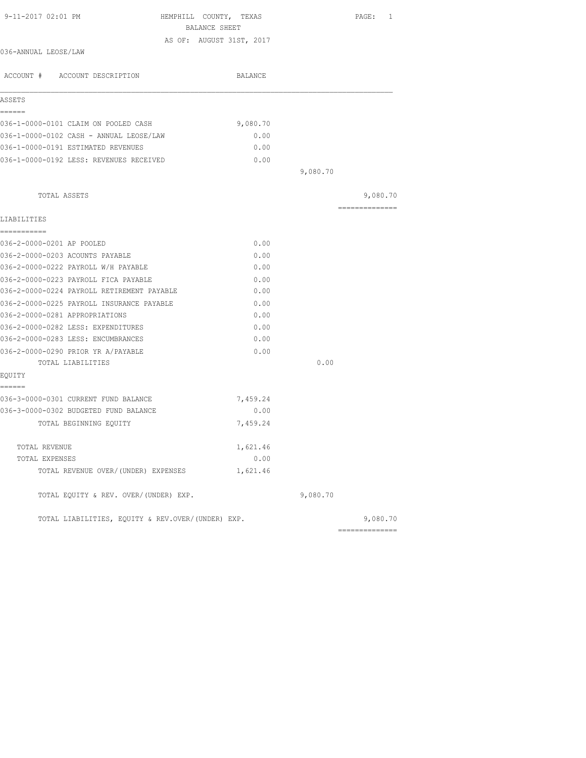| 9-11-2017 02:01 PM<br>HEMPHILL COUNTY, TEXAS                                       | BALANCE SHEET            |          | PAGE: 1       |
|------------------------------------------------------------------------------------|--------------------------|----------|---------------|
|                                                                                    | AS OF: AUGUST 31ST, 2017 |          |               |
| 036-ANNUAL LEOSE/LAW                                                               |                          |          |               |
| ACCOUNT # ACCOUNT DESCRIPTION                                                      | BALANCE                  |          |               |
| ASSETS                                                                             |                          |          |               |
| ======<br>036-1-0000-0101 CLAIM ON POOLED CASH                                     | 9,080.70                 |          |               |
| 036-1-0000-0102 CASH - ANNUAL LEOSE/LAW                                            | 0.00                     |          |               |
| 036-1-0000-0191 ESTIMATED REVENUES                                                 | 0.00                     |          |               |
| 036-1-0000-0192 LESS: REVENUES RECEIVED                                            | 0.00                     |          |               |
|                                                                                    |                          | 9,080.70 |               |
| TOTAL ASSETS                                                                       |                          |          | 9,080.70      |
| LIABILITIES                                                                        |                          |          | ------------- |
| ===========<br>036-2-0000-0201 AP POOLED                                           | 0.00                     |          |               |
|                                                                                    |                          |          |               |
| 036-2-0000-0203 ACOUNTS PAYABLE                                                    | 0.00<br>0.00             |          |               |
| 036-2-0000-0222 PAYROLL W/H PAYABLE                                                |                          |          |               |
| 036-2-0000-0223 PAYROLL FICA PAYABLE<br>036-2-0000-0224 PAYROLL RETIREMENT PAYABLE | 0.00<br>0.00             |          |               |
| 036-2-0000-0225 PAYROLL INSURANCE PAYABLE                                          | 0.00                     |          |               |
| 036-2-0000-0281 APPROPRIATIONS                                                     | 0.00                     |          |               |
| 036-2-0000-0282 LESS: EXPENDITURES                                                 | 0.00                     |          |               |
| 036-2-0000-0283 LESS: ENCUMBRANCES                                                 | 0.00                     |          |               |
| 036-2-0000-0290 PRIOR YR A/PAYABLE                                                 | 0.00                     |          |               |
| TOTAL LIABILITIES                                                                  |                          | 0.00     |               |
| EOUITY                                                                             |                          |          |               |
| ------<br>036-3-0000-0301 CURRENT FUND BALANCE                                     | 7,459.24                 |          |               |
| 036-3-0000-0302 BUDGETED FUND BALANCE                                              | 0.00                     |          |               |
| TOTAL BEGINNING EQUITY                                                             | 7,459.24                 |          |               |
| TOTAL REVENUE                                                                      | 1,621.46                 |          |               |
| TOTAL EXPENSES                                                                     | 0.00                     |          |               |
| TOTAL REVENUE OVER/(UNDER) EXPENSES                                                | 1,621.46                 |          |               |
| TOTAL EQUITY & REV. OVER/(UNDER) EXP.                                              |                          | 9,080.70 |               |
| TOTAL LIABILITIES, EQUITY & REV.OVER/(UNDER) EXP.                                  |                          |          | 9,080.70      |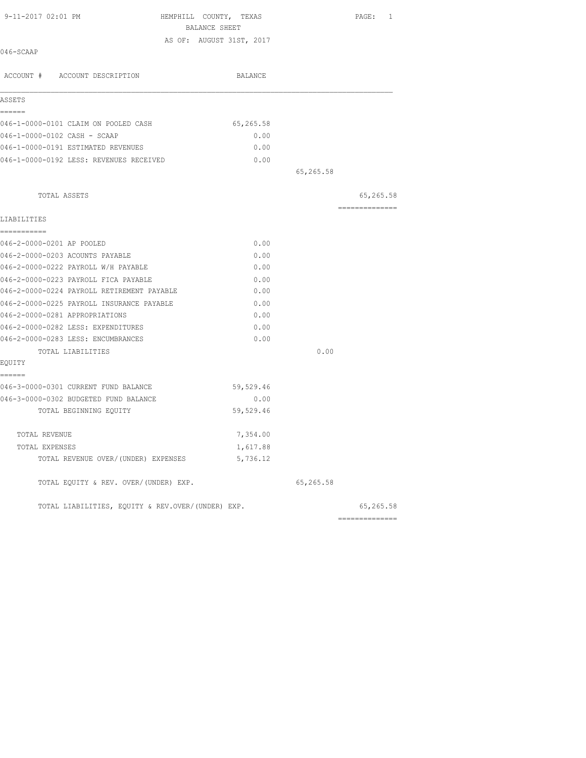| 9-11-2017 02:01 PM                                | HEMPHILL COUNTY, TEXAS   |           | PAGE: 1        |
|---------------------------------------------------|--------------------------|-----------|----------------|
|                                                   | BALANCE SHEET            |           |                |
| 046-SCAAP                                         | AS OF: AUGUST 31ST, 2017 |           |                |
|                                                   |                          |           |                |
| ACCOUNT # ACCOUNT DESCRIPTION                     | BALANCE                  |           |                |
| ASSETS                                            |                          |           |                |
| ------                                            |                          |           |                |
| 046-1-0000-0101 CLAIM ON POOLED CASH              | 65,265.58                |           |                |
| 046-1-0000-0102 CASH - SCAAP                      | 0.00                     |           |                |
| 046-1-0000-0191 ESTIMATED REVENUES                | 0.00                     |           |                |
| 046-1-0000-0192 LESS: REVENUES RECEIVED           | 0.00                     |           |                |
|                                                   |                          | 65,265.58 |                |
| TOTAL ASSETS                                      |                          |           | 65,265.58      |
|                                                   |                          |           | ============== |
| LIABILITIES<br>===========                        |                          |           |                |
| 046-2-0000-0201 AP POOLED                         | 0.00                     |           |                |
| 046-2-0000-0203 ACOUNTS PAYABLE                   | 0.00                     |           |                |
| 046-2-0000-0222 PAYROLL W/H PAYABLE               | 0.00                     |           |                |
| 046-2-0000-0223 PAYROLL FICA PAYABLE              | 0.00                     |           |                |
| 046-2-0000-0224 PAYROLL RETIREMENT PAYABLE        | 0.00                     |           |                |
| 046-2-0000-0225 PAYROLL INSURANCE PAYABLE         | 0.00                     |           |                |
| 046-2-0000-0281 APPROPRIATIONS                    | 0.00                     |           |                |
| 046-2-0000-0282 LESS: EXPENDITURES                | 0.00                     |           |                |
| 046-2-0000-0283 LESS: ENCUMBRANCES                | 0.00                     |           |                |
| TOTAL LIABILITIES                                 |                          | 0.00      |                |
| EQUITY                                            |                          |           |                |
| ======                                            |                          |           |                |
| 046-3-0000-0301 CURRENT FUND BALANCE              | 59,529.46                |           |                |
| 046-3-0000-0302 BUDGETED FUND BALANCE             | 0.00                     |           |                |
| TOTAL BEGINNING EQUITY                            | 59,529.46                |           |                |
| TOTAL REVENUE                                     | 7,354.00                 |           |                |
| TOTAL EXPENSES                                    | 1,617.88                 |           |                |
| TOTAL REVENUE OVER/(UNDER) EXPENSES               | 5,736.12                 |           |                |
| TOTAL EQUITY & REV. OVER/(UNDER) EXP.             |                          | 65,265.58 |                |
| TOTAL LIABILITIES, EQUITY & REV.OVER/(UNDER) EXP. |                          |           | 65,265.58      |
|                                                   |                          |           | ============== |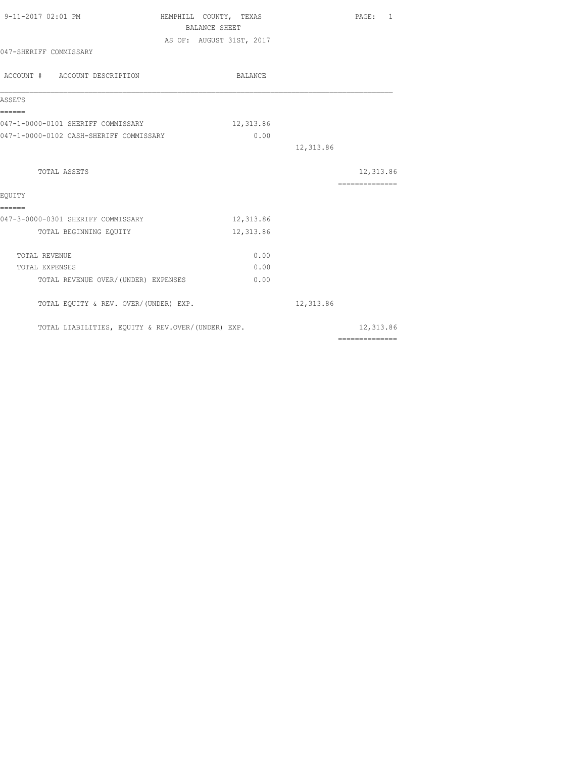| 9-11-2017 02:01 PM                                | HEMPHILL COUNTY, TEXAS<br>BALANCE SHEET | PAGE: 1                                                                                                                                                                                                                                                                                                                                                                                                                                                                                             |
|---------------------------------------------------|-----------------------------------------|-----------------------------------------------------------------------------------------------------------------------------------------------------------------------------------------------------------------------------------------------------------------------------------------------------------------------------------------------------------------------------------------------------------------------------------------------------------------------------------------------------|
|                                                   | AS OF: AUGUST 31ST, 2017                |                                                                                                                                                                                                                                                                                                                                                                                                                                                                                                     |
| 047-SHERIFF COMMISSARY                            |                                         |                                                                                                                                                                                                                                                                                                                                                                                                                                                                                                     |
| ACCOUNT # ACCOUNT DESCRIPTION                     | BALANCE                                 |                                                                                                                                                                                                                                                                                                                                                                                                                                                                                                     |
| ASSETS                                            |                                         |                                                                                                                                                                                                                                                                                                                                                                                                                                                                                                     |
| ======<br>047-1-0000-0101 SHERIFF COMMISSARY      | 12,313.86                               |                                                                                                                                                                                                                                                                                                                                                                                                                                                                                                     |
| 047-1-0000-0102 CASH-SHERIFF COMMISSARY           | 0.00                                    |                                                                                                                                                                                                                                                                                                                                                                                                                                                                                                     |
|                                                   |                                         | 12,313.86                                                                                                                                                                                                                                                                                                                                                                                                                                                                                           |
| TOTAL ASSETS                                      |                                         | 12,313.86                                                                                                                                                                                                                                                                                                                                                                                                                                                                                           |
|                                                   |                                         | $\begin{array}{cccccccccccccc} \multicolumn{2}{c}{} & \multicolumn{2}{c}{} & \multicolumn{2}{c}{} & \multicolumn{2}{c}{} & \multicolumn{2}{c}{} & \multicolumn{2}{c}{} & \multicolumn{2}{c}{} & \multicolumn{2}{c}{} & \multicolumn{2}{c}{} & \multicolumn{2}{c}{} & \multicolumn{2}{c}{} & \multicolumn{2}{c}{} & \multicolumn{2}{c}{} & \multicolumn{2}{c}{} & \multicolumn{2}{c}{} & \multicolumn{2}{c}{} & \multicolumn{2}{c}{} & \multicolumn{2}{c}{} & \multicolumn{2}{c}{} & \$              |
| EOUITY<br>======                                  |                                         |                                                                                                                                                                                                                                                                                                                                                                                                                                                                                                     |
| 047-3-0000-0301 SHERIFF COMMISSARY                | 12,313.86                               |                                                                                                                                                                                                                                                                                                                                                                                                                                                                                                     |
| TOTAL BEGINNING EQUITY                            | 12,313.86                               |                                                                                                                                                                                                                                                                                                                                                                                                                                                                                                     |
| <b>TOTAL REVENUE</b>                              | 0.00                                    |                                                                                                                                                                                                                                                                                                                                                                                                                                                                                                     |
| TOTAL EXPENSES                                    | 0.00                                    |                                                                                                                                                                                                                                                                                                                                                                                                                                                                                                     |
| TOTAL REVENUE OVER/ (UNDER) EXPENSES              | 0.00                                    |                                                                                                                                                                                                                                                                                                                                                                                                                                                                                                     |
| TOTAL EQUITY & REV. OVER/(UNDER) EXP.             |                                         | 12,313.86                                                                                                                                                                                                                                                                                                                                                                                                                                                                                           |
| TOTAL LIABILITIES, EQUITY & REV.OVER/(UNDER) EXP. |                                         | 12,313.86<br>$\begin{array}{cccccccccccccc} \multicolumn{2}{c}{} & \multicolumn{2}{c}{} & \multicolumn{2}{c}{} & \multicolumn{2}{c}{} & \multicolumn{2}{c}{} & \multicolumn{2}{c}{} & \multicolumn{2}{c}{} & \multicolumn{2}{c}{} & \multicolumn{2}{c}{} & \multicolumn{2}{c}{} & \multicolumn{2}{c}{} & \multicolumn{2}{c}{} & \multicolumn{2}{c}{} & \multicolumn{2}{c}{} & \multicolumn{2}{c}{} & \multicolumn{2}{c}{} & \multicolumn{2}{c}{} & \multicolumn{2}{c}{} & \multicolumn{2}{c}{} & \$ |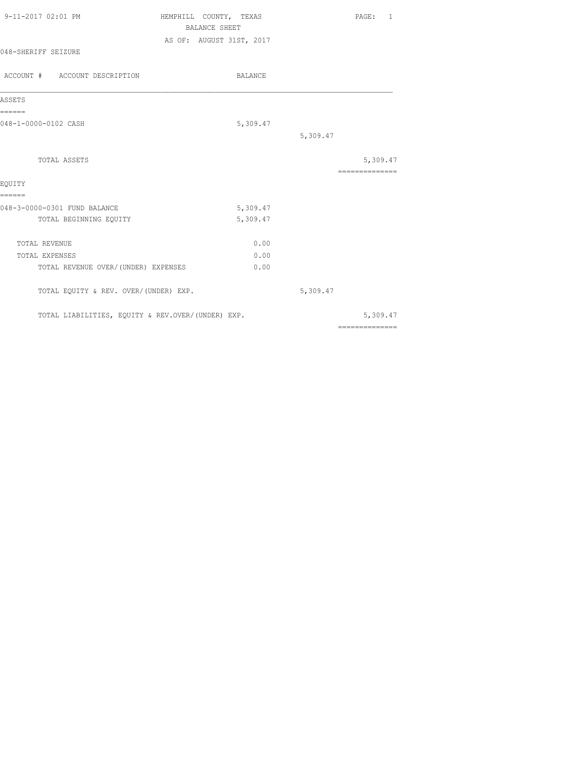| 9-11-2017 02:01 PM                                | HEMPHILL COUNTY, TEXAS<br><b>BALANCE SHEET</b> | PAGE: 1                                                                                                                                                                                                                                                                                                                                                                                                                                                                                |
|---------------------------------------------------|------------------------------------------------|----------------------------------------------------------------------------------------------------------------------------------------------------------------------------------------------------------------------------------------------------------------------------------------------------------------------------------------------------------------------------------------------------------------------------------------------------------------------------------------|
|                                                   | AS OF: AUGUST 31ST, 2017                       |                                                                                                                                                                                                                                                                                                                                                                                                                                                                                        |
| 048-SHERIFF SEIZURE                               |                                                |                                                                                                                                                                                                                                                                                                                                                                                                                                                                                        |
| ACCOUNT # ACCOUNT DESCRIPTION                     | BALANCE                                        |                                                                                                                                                                                                                                                                                                                                                                                                                                                                                        |
| ASSETS                                            |                                                |                                                                                                                                                                                                                                                                                                                                                                                                                                                                                        |
| ======<br>048-1-0000-0102 CASH                    | 5,309.47                                       |                                                                                                                                                                                                                                                                                                                                                                                                                                                                                        |
|                                                   |                                                | 5,309.47                                                                                                                                                                                                                                                                                                                                                                                                                                                                               |
| TOTAL ASSETS                                      |                                                | 5,309.47                                                                                                                                                                                                                                                                                                                                                                                                                                                                               |
|                                                   |                                                | $\begin{array}{cccccccccccccc} \multicolumn{2}{c}{} & \multicolumn{2}{c}{} & \multicolumn{2}{c}{} & \multicolumn{2}{c}{} & \multicolumn{2}{c}{} & \multicolumn{2}{c}{} & \multicolumn{2}{c}{} & \multicolumn{2}{c}{} & \multicolumn{2}{c}{} & \multicolumn{2}{c}{} & \multicolumn{2}{c}{} & \multicolumn{2}{c}{} & \multicolumn{2}{c}{} & \multicolumn{2}{c}{} & \multicolumn{2}{c}{} & \multicolumn{2}{c}{} & \multicolumn{2}{c}{} & \multicolumn{2}{c}{} & \multicolumn{2}{c}{} & \$ |
| EQUITY                                            |                                                |                                                                                                                                                                                                                                                                                                                                                                                                                                                                                        |
| ======<br>048-3-0000-0301 FUND BALANCE            | 5,309.47                                       |                                                                                                                                                                                                                                                                                                                                                                                                                                                                                        |
| TOTAL BEGINNING EQUITY                            | 5,309.47                                       |                                                                                                                                                                                                                                                                                                                                                                                                                                                                                        |
| TOTAL REVENUE                                     | 0.00                                           |                                                                                                                                                                                                                                                                                                                                                                                                                                                                                        |
| TOTAL EXPENSES                                    | 0.00                                           |                                                                                                                                                                                                                                                                                                                                                                                                                                                                                        |
| TOTAL REVENUE OVER/ (UNDER) EXPENSES              | 0.00                                           |                                                                                                                                                                                                                                                                                                                                                                                                                                                                                        |
| TOTAL EQUITY & REV. OVER/(UNDER) EXP.             |                                                | 5,309.47                                                                                                                                                                                                                                                                                                                                                                                                                                                                               |
| TOTAL LIABILITIES, EQUITY & REV.OVER/(UNDER) EXP. |                                                | 5,309.47                                                                                                                                                                                                                                                                                                                                                                                                                                                                               |
|                                                   |                                                | $\begin{array}{cccccccccccccc} \multicolumn{2}{c}{} & \multicolumn{2}{c}{} & \multicolumn{2}{c}{} & \multicolumn{2}{c}{} & \multicolumn{2}{c}{} & \multicolumn{2}{c}{} & \multicolumn{2}{c}{} & \multicolumn{2}{c}{} & \multicolumn{2}{c}{} & \multicolumn{2}{c}{} & \multicolumn{2}{c}{} & \multicolumn{2}{c}{} & \multicolumn{2}{c}{} & \multicolumn{2}{c}{} & \multicolumn{2}{c}{} & \multicolumn{2}{c}{} & \multicolumn{2}{c}{} & \multicolumn{2}{c}{} & \multicolumn{2}{c}{} & \$ |